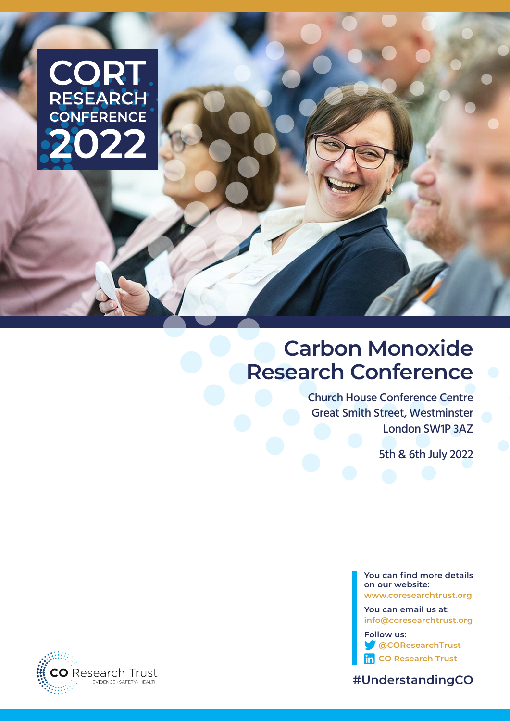# CORT

# **Carbon Monoxide Research Conference**

Church House Conference Centre Great Smith Street, Westminster London SW1P 3AZ

5th & 6th July 2022

**You can find more details on our website: www.coresearchtrust.org**

**You can email us at: info@coresearchtrust.org**

**Follow us: @COResearchTrust in** CO Research Trust



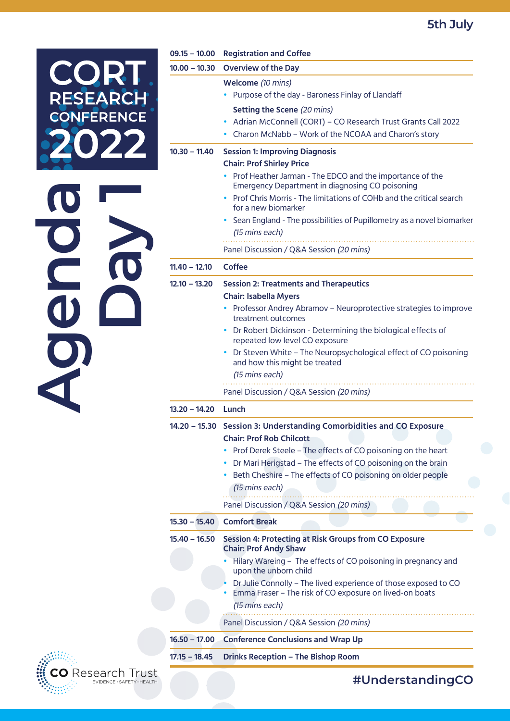# **5th July**

| <b>TELE</b>         | <b>EARC</b> |
|---------------------|-------------|
| ES                  | Ŋ           |
| R                   | ERENCE      |
| O<br>C<br>$\bigcap$ |             |

| $09.15 - 10.00$                    | <b>Registration and Coffee</b>                                                                                                                                                                                                                                                                                                                                                                                                                                     |  |
|------------------------------------|--------------------------------------------------------------------------------------------------------------------------------------------------------------------------------------------------------------------------------------------------------------------------------------------------------------------------------------------------------------------------------------------------------------------------------------------------------------------|--|
| $10.00 - 10.30$                    | <b>Overview of the Day</b>                                                                                                                                                                                                                                                                                                                                                                                                                                         |  |
|                                    | Welcome (10 mins)<br>Purpose of the day - Baroness Finlay of Llandaff<br>Setting the Scene (20 mins)<br>Adrian McConnell (CORT) - CO Research Trust Grants Call 2022<br>٠<br>Charon McNabb - Work of the NCOAA and Charon's story                                                                                                                                                                                                                                  |  |
| $10.30 - 11.40$                    | <b>Session 1: Improving Diagnosis</b><br><b>Chair: Prof Shirley Price</b><br>• Prof Heather Jarman - The EDCO and the importance of the<br>Emergency Department in diagnosing CO poisoning<br>Prof Chris Morris - The limitations of COHb and the critical search<br>for a new biomarker<br>Sean England - The possibilities of Pupillometry as a novel biomarker<br>(15 mins each)<br>Panel Discussion / Q&A Session (20 mins)                                    |  |
| $11.40 - 12.10$                    | Coffee                                                                                                                                                                                                                                                                                                                                                                                                                                                             |  |
| $12.10 - 13.20$<br>$13.20 - 14.20$ | <b>Session 2: Treatments and Therapeutics</b><br><b>Chair: Isabella Myers</b><br>Professor Andrey Abramov - Neuroprotective strategies to improve<br>$\bullet$<br>treatment outcomes<br>• Dr Robert Dickinson - Determining the biological effects of<br>repeated low level CO exposure<br>Dr Steven White - The Neuropsychological effect of CO poisoning<br>and how this might be treated<br>(15 mins each)<br>Panel Discussion / Q&A Session (20 mins)<br>Lunch |  |
|                                    | 14.20 - 15.30 Session 3: Understanding Comorbidities and CO Exposure<br><b>Chair: Prof Rob Chilcott</b><br>Prof Derek Steele - The effects of CO poisoning on the heart<br>Dr Mari Herigstad - The effects of CO poisoning on the brain<br>Beth Cheshire - The effects of CO poisoning on older people                                                                                                                                                             |  |
|                                    | (15 mins each)<br>Panel Discussion / Q&A Session (20 mins)                                                                                                                                                                                                                                                                                                                                                                                                         |  |
| $15.30 - 15.40$                    | <b>Comfort Break</b>                                                                                                                                                                                                                                                                                                                                                                                                                                               |  |
| $15.40 - 16.50$                    | <b>Session 4: Protecting at Risk Groups from CO Exposure</b><br><b>Chair: Prof Andy Shaw</b><br>Hilary Wareing - The effects of CO poisoning in pregnancy and<br>upon the unborn child<br>Dr Julie Connolly - The lived experience of those exposed to CO<br>Emma Fraser - The risk of CO exposure on lived-on boats<br>(15 mins each)                                                                                                                             |  |
|                                    | Panel Discussion / Q&A Session (20 mins)                                                                                                                                                                                                                                                                                                                                                                                                                           |  |
| $16.50 - 17.00$                    | <b>Conference Conclusions and Wrap Up</b>                                                                                                                                                                                                                                                                                                                                                                                                                          |  |
| $17.15 - 18.45$                    | <b>Drinks Reception - The Bishop Room</b>                                                                                                                                                                                                                                                                                                                                                                                                                          |  |



## **#UnderstandingCO**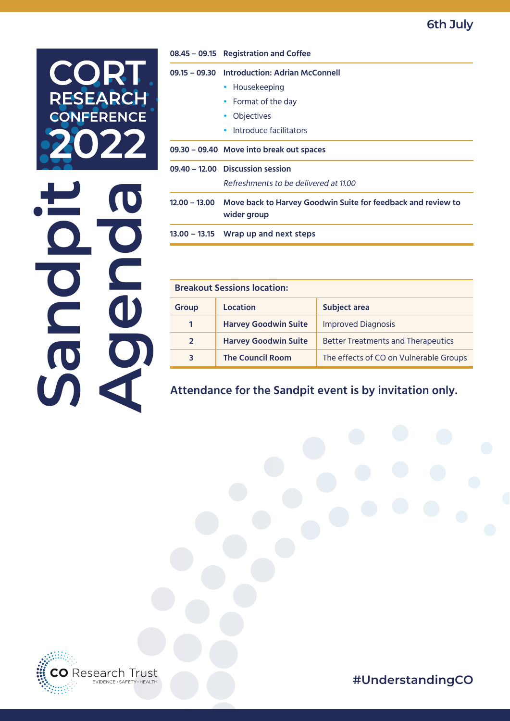**6th July**



|                 | 08.45 - 09.15 Registration and Coffee                                       |  |
|-----------------|-----------------------------------------------------------------------------|--|
|                 | 09.15 - 09.30 Introduction: Adrian McConnell                                |  |
|                 | • Housekeeping                                                              |  |
|                 | Format of the day                                                           |  |
|                 | Objectives                                                                  |  |
|                 | Introduce facilitators                                                      |  |
|                 | 09.30 - 09.40 Move into break out spaces                                    |  |
|                 | 09.40 - 12.00 Discussion session                                            |  |
|                 | Refreshments to be delivered at 11.00                                       |  |
| $12.00 - 13.00$ | Move back to Harvey Goodwin Suite for feedback and review to<br>wider group |  |
|                 | $13.00 - 13.15$ Wrap up and next steps                                      |  |

| <b>Breakout Sessions location:</b> |                             |                                           |
|------------------------------------|-----------------------------|-------------------------------------------|
| <b>Group</b>                       | Location                    | Subject area                              |
| 1                                  | <b>Harvey Goodwin Suite</b> | <b>Improved Diagnosis</b>                 |
| $\overline{2}$                     | <b>Harvey Goodwin Suite</b> | <b>Better Treatments and Therapeutics</b> |
| 3                                  | <b>The Council Room</b>     | The effects of CO on Vulnerable Groups    |

**Attendance for the Sandpit event is by invitation only.**



**#UnderstandingCO**